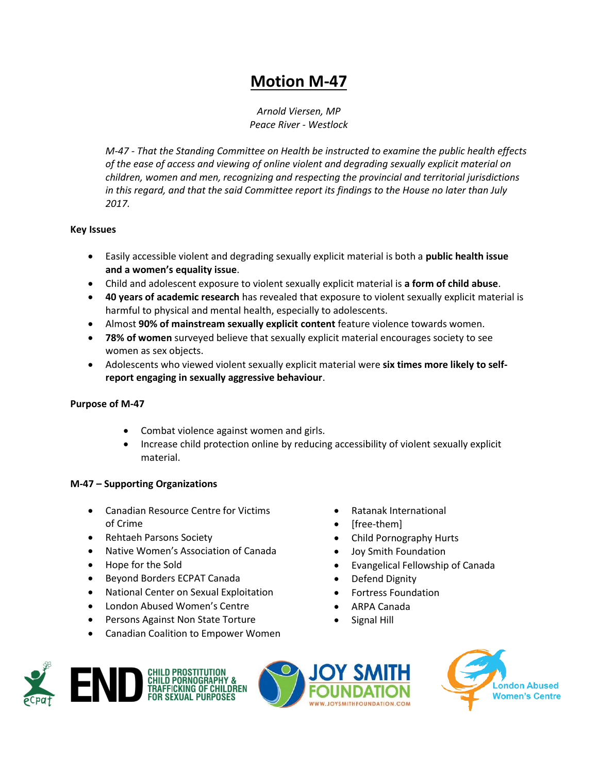# **Motion M-47**

*Arnold Viersen, MP Peace River - Westlock*

*M-47 - That the Standing Committee on Health be instructed to examine the public health effects of the ease of access and viewing of online violent and degrading sexually explicit material on children, women and men, recognizing and respecting the provincial and territorial jurisdictions in this regard, and that the said Committee report its findings to the House no later than July 2017.* 

#### **Key Issues**

- Easily accessible violent and degrading sexually explicit material is both a **public health issue and a women's equality issue**.
- Child and adolescent exposure to violent sexually explicit material is **a form of child abuse**.
- **40 years of academic research** has revealed that exposure to violent sexually explicit material is harmful to physical and mental health, especially to adolescents.
- Almost **90% of mainstream sexually explicit content** feature violence towards women.
- **78% of women** surveyed believe that sexually explicit material encourages society to see women as sex objects.
- Adolescents who viewed violent sexually explicit material were **six times more likely to selfreport engaging in sexually aggressive behaviour**.

## **Purpose of M-47**

- Combat violence against women and girls.
- Increase child protection online by reducing accessibility of violent sexually explicit material.

## **M-47 – Supporting Organizations**

- Canadian Resource Centre for Victims of Crime
- Rehtaeh Parsons Society
- Native Women's Association of Canada
- Hope for the Sold
- Beyond Borders ECPAT Canada
- National Center on Sexual Exploitation
- London Abused Women's Centre
- Persons Against Non State Torture
- Canadian Coalition to Empower Women
- Ratanak International
- [free-them]
- Child Pornography Hurts
- Joy Smith Foundation
- Evangelical Fellowship of Canada
- Defend Dignity
- Fortress Foundation
- ARPA Canada
- Signal Hill